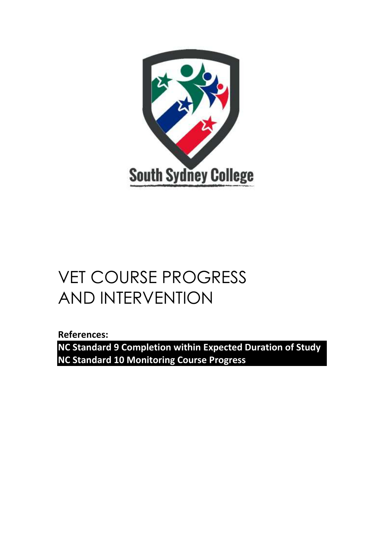

# VET COURSE PROGRESS AND INTERVENTION

**References:** 

**NC Standard 9 Completion within Expected Duration of Study NC Standard 10 Monitoring Course Progress**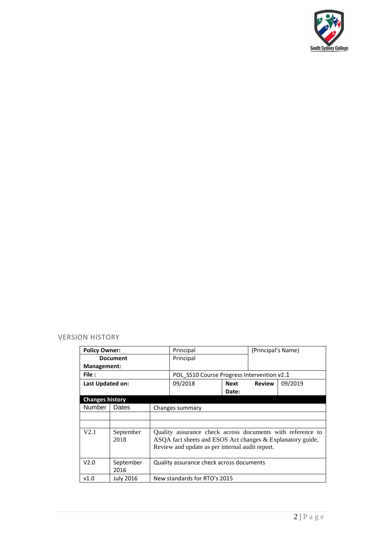

#### VERSION HISTORY

| <b>Policy Owner:</b>   |                  | Principal                                                  |                                                            | (Principal's Name) |               |         |
|------------------------|------------------|------------------------------------------------------------|------------------------------------------------------------|--------------------|---------------|---------|
| <b>Document</b>        |                  |                                                            | Principal                                                  |                    |               |         |
| Management:            |                  |                                                            |                                                            |                    |               |         |
| File:                  |                  |                                                            | POL SS10 Course Progress Intervention v2.1                 |                    |               |         |
| Last Updated on:       |                  |                                                            | 09/2018                                                    | Next               | <b>Review</b> | 09/2019 |
|                        |                  |                                                            |                                                            | Date:              |               |         |
| <b>Changes history</b> |                  |                                                            |                                                            |                    |               |         |
| Number                 | Dates            | Changes summary                                            |                                                            |                    |               |         |
|                        |                  |                                                            |                                                            |                    |               |         |
|                        |                  |                                                            |                                                            |                    |               |         |
| V2.1                   | September        | Quality assurance check across documents with reference to |                                                            |                    |               |         |
|                        | 2018             |                                                            | ASQA fact sheets and ESOS Act changes & Explanatory guide, |                    |               |         |
|                        |                  |                                                            | Review and update as per internal audit report.            |                    |               |         |
|                        |                  |                                                            |                                                            |                    |               |         |
| V2.0                   | September        |                                                            | Quality assurance check across documents                   |                    |               |         |
|                        | 2016             |                                                            |                                                            |                    |               |         |
| v1.0                   | <b>July 2016</b> |                                                            | New standards for RTO's 2015                               |                    |               |         |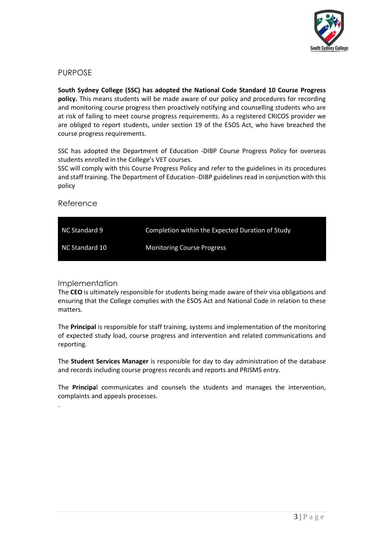

# PURPOSE

**South Sydney College (SSC) has adopted the National Code Standard 10 Course Progress policy.** This means students will be made aware of our policy and procedures for recording and monitoring course progress then proactively notifying and counselling students who are at risk of failing to meet course progress requirements. As a registered CRICOS provider we are obliged to report students, under section 19 of the ESOS Act, who have breached the course progress requirements.

SSC has adopted the Department of Education -DIBP Course Progress Policy for overseas students enrolled in the College's VET courses.

SSC will comply with this Course Progress Policy and refer to the guidelines in its procedures and staff training. The Department of Education -DIBP guidelines read in conjunction with this policy

#### Reference

| NC Standard 9  | Completion within the Expected Duration of Study |
|----------------|--------------------------------------------------|
| NC Standard 10 | <b>Monitoring Course Progress</b>                |

#### Implementation

.

The **CEO** is ultimately responsible for students being made aware of their visa obligations and ensuring that the College complies with the ESOS Act and National Code in relation to these matters.

The **Principal** is responsible for staff training, systems and implementation of the monitoring of expected study load, course progress and intervention and related communications and reporting.

The **Student Services Manager** is responsible for day to day administration of the database and records including course progress records and reports and PRISMS entry.

The **Principa**l communicates and counsels the students and manages the intervention, complaints and appeals processes.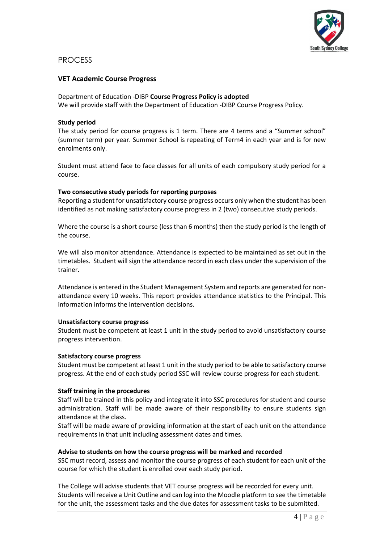

## PROCESS

#### **VET Academic Course Progress**

Department of Education -DIBP **Course Progress Policy is adopted**  We will provide staff with the Department of Education -DIBP Course Progress Policy.

#### **Study period**

The study period for course progress is 1 term. There are 4 terms and a "Summer school" (summer term) per year. Summer School is repeating of Term4 in each year and is for new enrolments only.

Student must attend face to face classes for all units of each compulsory study period for a course.

#### **Two consecutive study periods for reporting purposes**

Reporting a student for unsatisfactory course progress occurs only when the student has been identified as not making satisfactory course progress in 2 (two) consecutive study periods.

Where the course is a short course (less than 6 months) then the study period is the length of the course.

We will also monitor attendance. Attendance is expected to be maintained as set out in the timetables. Student will sign the attendance record in each class under the supervision of the trainer.

Attendance is entered in the Student Management System and reports are generated for nonattendance every 10 weeks. This report provides attendance statistics to the Principal. This information informs the intervention decisions.

#### **Unsatisfactory course progress**

Student must be competent at least 1 unit in the study period to avoid unsatisfactory course progress intervention.

#### **Satisfactory course progress**

Student must be competent at least 1 unit in the study period to be able to satisfactory course progress. At the end of each study period SSC will review course progress for each student.

#### **Staff training in the procedures**

Staff will be trained in this policy and integrate it into SSC procedures for student and course administration. Staff will be made aware of their responsibility to ensure students sign attendance at the class.

Staff will be made aware of providing information at the start of each unit on the attendance requirements in that unit including assessment dates and times.

#### **Advise to students on how the course progress will be marked and recorded**

SSC must record, assess and monitor the course progress of each student for each unit of the course for which the student is enrolled over each study period.

The College will advise students that VET course progress will be recorded for every unit. Students will receive a Unit Outline and can log into the Moodle platform to see the timetable for the unit, the assessment tasks and the due dates for assessment tasks to be submitted.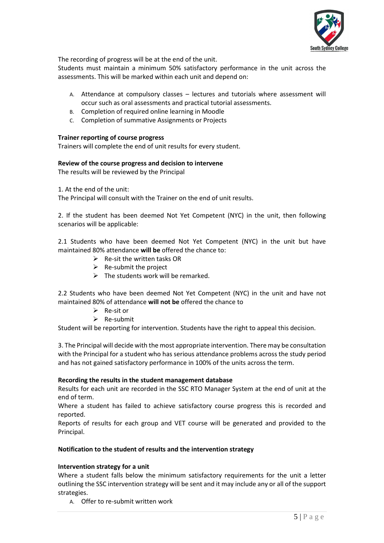

The recording of progress will be at the end of the unit.

Students must maintain a minimum 50% satisfactory performance in the unit across the assessments. This will be marked within each unit and depend on:

- A. Attendance at compulsory classes lectures and tutorials where assessment will occur such as oral assessments and practical tutorial assessments.
- B. Completion of required online learning in Moodle
- C. Completion of summative Assignments or Projects

#### **Trainer reporting of course progress**

Trainers will complete the end of unit results for every student.

#### **Review of the course progress and decision to intervene**

The results will be reviewed by the Principal

1. At the end of the unit:

The Principal will consult with the Trainer on the end of unit results.

2. If the student has been deemed Not Yet Competent (NYC) in the unit, then following scenarios will be applicable:

2.1 Students who have been deemed Not Yet Competent (NYC) in the unit but have maintained 80% attendance **will be** offered the chance to:

- $\triangleright$  Re-sit the written tasks OR
- $\triangleright$  Re-submit the project
- $\triangleright$  The students work will be remarked.

2.2 Students who have been deemed Not Yet Competent (NYC) in the unit and have not maintained 80% of attendance **will not be** offered the chance to

- ➢ Re-sit or
- ➢ Re-submit

Student will be reporting for intervention. Students have the right to appeal this decision.

3. The Principal will decide with the most appropriate intervention. There may be consultation with the Principal for a student who has serious attendance problems across the study period and has not gained satisfactory performance in 100% of the units across the term.

#### **Recording the results in the student management database**

Results for each unit are recorded in the SSC RTO Manager System at the end of unit at the end of term.

Where a student has failed to achieve satisfactory course progress this is recorded and reported.

Reports of results for each group and VET course will be generated and provided to the Principal.

#### **Notification to the student of results and the intervention strategy**

#### **Intervention strategy for a unit**

Where a student falls below the minimum satisfactory requirements for the unit a letter outlining the SSC intervention strategy will be sent and it may include any or all of the support strategies.

A. Offer to re-submit written work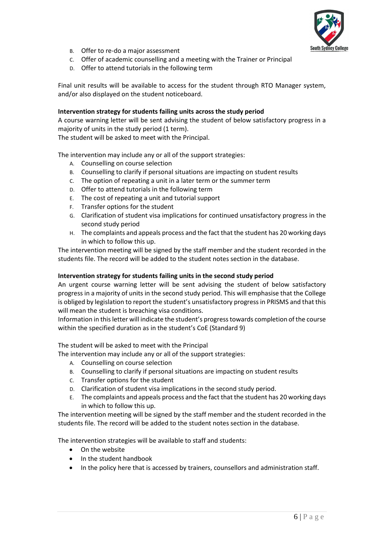

- B. Offer to re-do a major assessment
- C. Offer of academic counselling and a meeting with the Trainer or Principal
- D. Offer to attend tutorials in the following term

Final unit results will be available to access for the student through RTO Manager system, and/or also displayed on the student noticeboard.

#### **Intervention strategy for students failing units across the study period**

A course warning letter will be sent advising the student of below satisfactory progress in a majority of units in the study period (1 term).

The student will be asked to meet with the Principal.

The intervention may include any or all of the support strategies:

- A. Counselling on course selection
- B. Counselling to clarify if personal situations are impacting on student results
- C. The option of repeating a unit in a later term or the summer term
- D. Offer to attend tutorials in the following term
- E. The cost of repeating a unit and tutorial support
- F. Transfer options for the student
- G. Clarification of student visa implications for continued unsatisfactory progress in the second study period
- H. The complaints and appeals process and the fact that the student has 20 working days in which to follow this up.

The intervention meeting will be signed by the staff member and the student recorded in the students file. The record will be added to the student notes section in the database.

#### **Intervention strategy for students failing units in the second study period**

An urgent course warning letter will be sent advising the student of below satisfactory progress in a majority of units in the second study period. This will emphasise that the College is obliged by legislation to report the student's unsatisfactory progress in PRISMS and that this will mean the student is breaching visa conditions.

Information in this letter will indicate the student's progress towards completion of the course within the specified duration as in the student's CoE (Standard 9)

#### The student will be asked to meet with the Principal

The intervention may include any or all of the support strategies:

- A. Counselling on course selection
- B. Counselling to clarify if personal situations are impacting on student results
- C. Transfer options for the student
- D. Clarification of student visa implications in the second study period.
- E. The complaints and appeals process and the fact that the student has 20 working days in which to follow this up.

The intervention meeting will be signed by the staff member and the student recorded in the students file. The record will be added to the student notes section in the database.

The intervention strategies will be available to staff and students:

- On the website
- In the student handbook
- In the policy here that is accessed by trainers, counsellors and administration staff.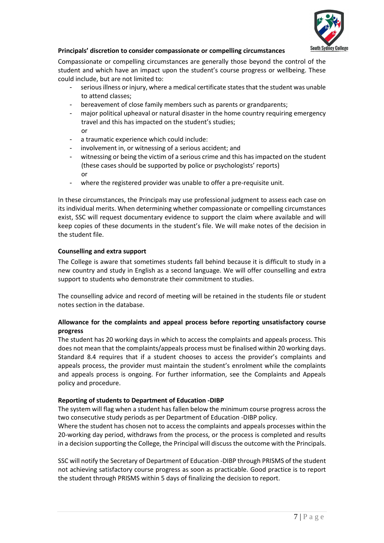

### **Principals' discretion to consider compassionate or compelling circumstances**

Compassionate or compelling circumstances are generally those beyond the control of the student and which have an impact upon the student's course progress or wellbeing. These could include, but are not limited to:

- serious illness or injury, where a medical certificate states that the student was unable to attend classes;
- bereavement of close family members such as parents or grandparents;
- major political upheaval or natural disaster in the home country requiring emergency travel and this has impacted on the student's studies; or
- a traumatic experience which could include:
- involvement in, or witnessing of a serious accident; and
- witnessing or being the victim of a serious crime and this has impacted on the student (these cases should be supported by police or psychologists' reports) or
- where the registered provider was unable to offer a pre-requisite unit.

In these circumstances, the Principals may use professional judgment to assess each case on its individual merits. When determining whether compassionate or compelling circumstances exist, SSC will request documentary evidence to support the claim where available and will keep copies of these documents in the student's file. We will make notes of the decision in the student file.

#### **Counselling and extra support**

The College is aware that sometimes students fall behind because it is difficult to study in a new country and study in English as a second language. We will offer counselling and extra support to students who demonstrate their commitment to studies.

The counselling advice and record of meeting will be retained in the students file or student notes section in the database.

#### **Allowance for the complaints and appeal process before reporting unsatisfactory course progress**

The student has 20 working days in which to access the complaints and appeals process. This does not mean that the complaints/appeals process must be finalised within 20 working days. Standard 8.4 requires that if a student chooses to access the provider's complaints and appeals process, the provider must maintain the student's enrolment while the complaints and appeals process is ongoing. For further information, see the Complaints and Appeals policy and procedure.

#### **Reporting of students to Department of Education -DIBP**

The system will flag when a student has fallen below the minimum course progress across the two consecutive study periods as per Department of Education -DIBP policy.

Where the student has chosen not to access the complaints and appeals processes within the 20-working day period, withdraws from the process, or the process is completed and results in a decision supporting the College, the Principal will discuss the outcome with the Principals.

SSC will notify the Secretary of Department of Education -DIBP through PRISMS of the student not achieving satisfactory course progress as soon as practicable. Good practice is to report the student through PRISMS within 5 days of finalizing the decision to report.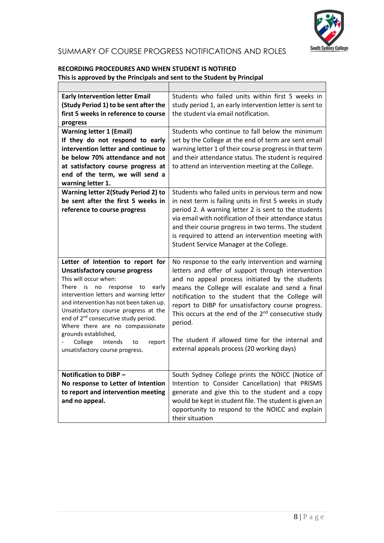

# SUMMARY OF COURSE PROGRESS NOTIFICATIONS AND ROLES

# **RECORDING PROCEDURES AND WHEN STUDENT IS NOTIFIED This is approved by the Principals and sent to the Student by Principal**

| <b>Early Intervention letter Email</b><br>(Study Period 1) to be sent after the<br>first 5 weeks in reference to course<br>progress | Students who failed units within first 5 weeks in<br>study period 1, an early intervention letter is sent to<br>the student via email notification. |
|-------------------------------------------------------------------------------------------------------------------------------------|-----------------------------------------------------------------------------------------------------------------------------------------------------|
| <b>Warning letter 1 (Email)</b>                                                                                                     | Students who continue to fall below the minimum                                                                                                     |
| If they do not respond to early                                                                                                     | set by the College at the end of term are sent email                                                                                                |
| intervention letter and continue to                                                                                                 | warning letter 1 of their course progress in that term                                                                                              |
| be below 70% attendance and not                                                                                                     | and their attendance status. The student is required                                                                                                |
| at satisfactory course progress at                                                                                                  | to attend an intervention meeting at the College.                                                                                                   |
| end of the term, we will send a                                                                                                     |                                                                                                                                                     |
| warning letter 1.                                                                                                                   |                                                                                                                                                     |
| <b>Warning letter 2(Study Period 2) to</b>                                                                                          | Students who failed units in pervious term and now                                                                                                  |
| be sent after the first 5 weeks in                                                                                                  | in next term is failing units in first 5 weeks in study                                                                                             |
| reference to course progress                                                                                                        | period 2. A warning letter 2 is sent to the students                                                                                                |
|                                                                                                                                     | via email with notification of their attendance status                                                                                              |
|                                                                                                                                     | and their course progress in two terms. The student                                                                                                 |
|                                                                                                                                     | is required to attend an intervention meeting with                                                                                                  |
|                                                                                                                                     | Student Service Manager at the College.                                                                                                             |
|                                                                                                                                     |                                                                                                                                                     |
|                                                                                                                                     |                                                                                                                                                     |
|                                                                                                                                     |                                                                                                                                                     |
| Letter of Intention to report for                                                                                                   | No response to the early intervention and warning                                                                                                   |
| <b>Unsatisfactory course progress</b><br>This will occur when:                                                                      | letters and offer of support through intervention                                                                                                   |
| There<br>is<br>early<br>no<br>response<br>to                                                                                        | and no appeal process initiated by the students                                                                                                     |
| intervention letters and warning letter                                                                                             | means the College will escalate and send a final                                                                                                    |
| and intervention has not been taken up.                                                                                             | notification to the student that the College will                                                                                                   |
| Unsatisfactory course progress at the                                                                                               | report to DIBP for unsatisfactory course progress.                                                                                                  |
| end of 2 <sup>nd</sup> consecutive study period.                                                                                    | This occurs at the end of the 2 <sup>nd</sup> consecutive study                                                                                     |
| Where there are no compassionate                                                                                                    | period.                                                                                                                                             |
| grounds established,                                                                                                                | The student if allowed time for the internal and                                                                                                    |
| College<br>intends<br>to<br>report                                                                                                  | external appeals process (20 working days)                                                                                                          |
| unsatisfactory course progress.                                                                                                     |                                                                                                                                                     |
|                                                                                                                                     |                                                                                                                                                     |
| Notification to DIBP -                                                                                                              | South Sydney College prints the NOICC (Notice of                                                                                                    |
| No response to Letter of Intention                                                                                                  | Intention to Consider Cancellation) that PRISMS                                                                                                     |
| to report and intervention meeting                                                                                                  | generate and give this to the student and a copy                                                                                                    |
| and no appeal.                                                                                                                      | would be kept in student file. The student is given an                                                                                              |
|                                                                                                                                     | opportunity to respond to the NOICC and explain                                                                                                     |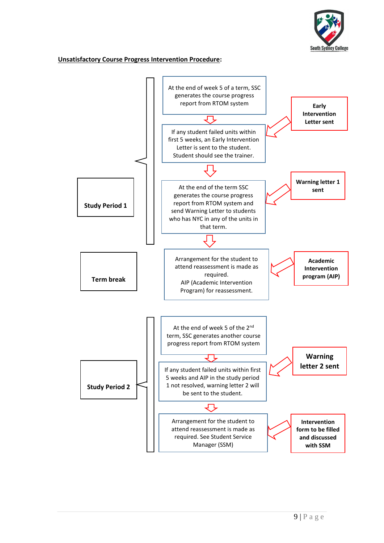

#### **Unsatisfactory Course Progress Intervention Procedure:**

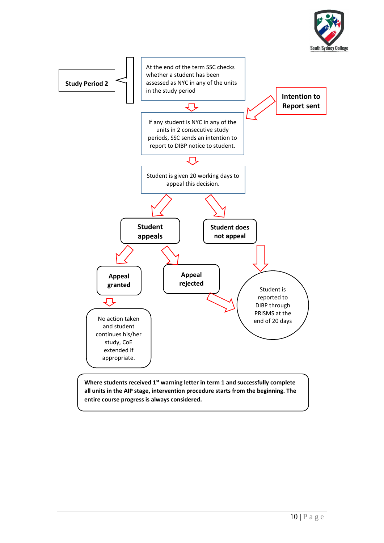